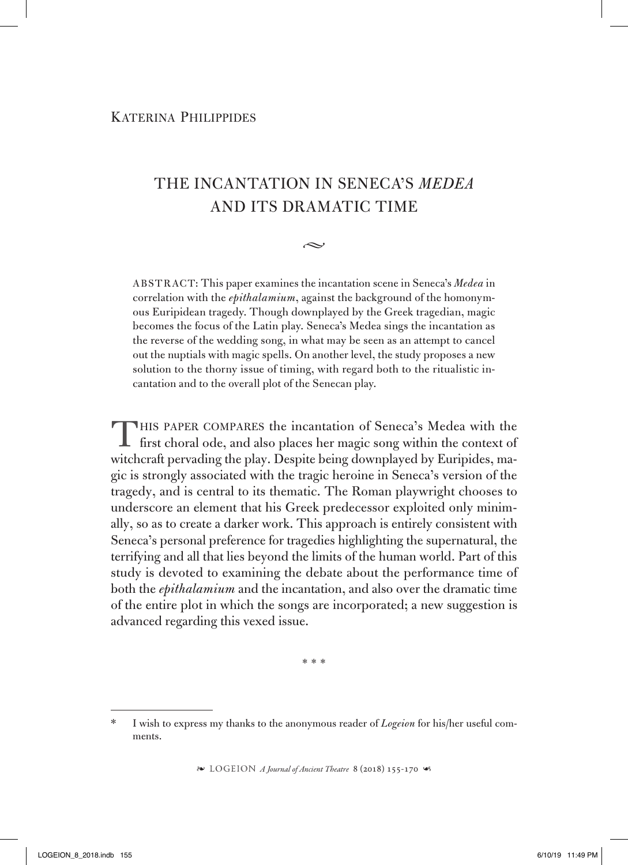## The incantation in Seneca's *Medea* and its dramatic time

 $\sim$ 

ABSTRACT: This paper examines the incantation scene in Seneca's *Medea* in correlation with the *epithalamium*, against the background of the homonymous Euripidean tragedy. Though downplayed by the Greek tragedian, magic becomes the focus of the Latin play. Seneca's Medea sings the incantation as the reverse of the wedding song, in what may be seen as an attempt to cancel out the nuptials with magic spells. On another level, the study proposes a new solution to the thorny issue of timing, with regard both to the ritualistic incantation and to the overall plot of the Senecan play.

This paper compares the incantation of Seneca's Medea with the **first choral ode, and also places her magic song within the context of** witchcraft pervading the play. Despite being downplayed by Euripides, magic is strongly associated with the tragic heroine in Seneca's version of the tragedy, and is central to its thematic. The Roman playwright chooses to underscore an element that his Greek predecessor exploited only minimally, so as to create a darker work. This approach is entirely consistent with Seneca's personal preference for tragedies highlighting the supernatural, the terrifying and all that lies beyond the limits of the human world. Part of this study is devoted to examining the debate about the performance time of both the *epithalamium* and the incantation, and also over the dramatic time of the entire plot in which the songs are incorporated; a new suggestion is advanced regarding this vexed issue.

\*\*\*

<sup>\*</sup> I wish to express my thanks to the anonymous reader of *Logeion* for his/her useful comments.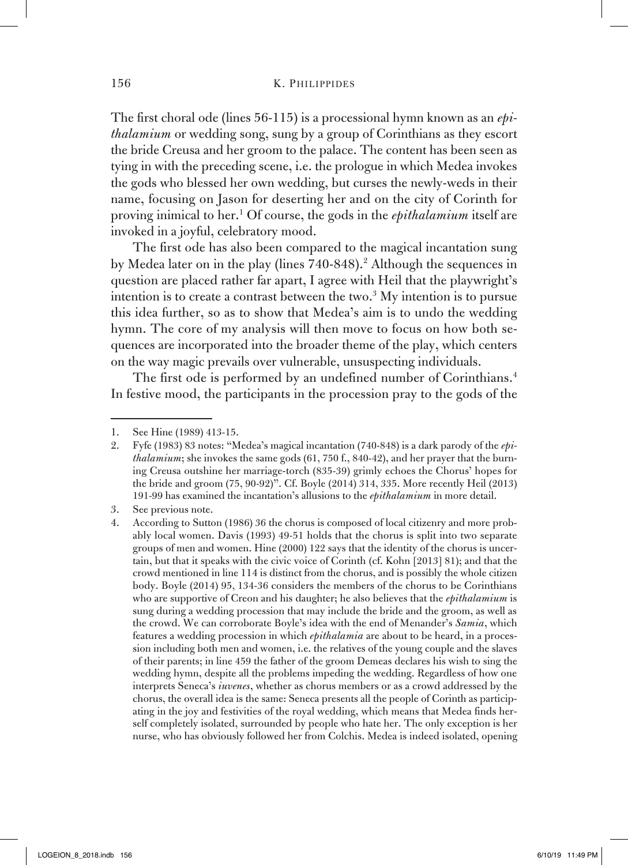## 156 K. PHILIPPIDES

The first choral ode (lines 56-115) is a processional hymn known as an *epithalamium* or wedding song, sung by a group of Corinthians as they escort the bride Creusa and her groom to the palace. The content has been seen as tying in with the preceding scene, i.e. the prologue in which Medea invokes the gods who blessed her own wedding, but curses the newly-weds in their name, focusing on Jason for deserting her and on the city of Corinth for proving inimical to her.1 Of course, the gods in the *epithalamium* itself are invoked in a joyful, celebratory mood.

The first ode has also been compared to the magical incantation sung by Medea later on in the play (lines 740-848).<sup>2</sup> Although the sequences in question are placed rather far apart, I agree with Heil that the playwright's intention is to create a contrast between the two.3 My intention is to pursue this idea further, so as to show that Medea's aim is to undo the wedding hymn. The core of my analysis will then move to focus on how both sequences are incorporated into the broader theme of the play, which centers on the way magic prevails over vulnerable, unsuspecting individuals.

The first ode is performed by an undefined number of Corinthians.<sup>4</sup> In festive mood, the participants in the procession pray to the gods of the

<sup>1.</sup> See Hine (1989) 413-15.

<sup>2.</sup> Fyfe (1983) 83 notes: "Medea's magical incantation (740-848) is a dark parody of the *epithalamium*; she invokes the same gods (61, 750 f., 840-42), and her prayer that the burning Creusa outshine her marriage-torch (835-39) grimly echoes the Chorus' hopes for the bride and groom (75, 90-92)". Cf. Boyle (2014) 314, 335. More recently Heil (2013) 191-99 has examined the incantation's allusions to the *epithalamium* in more detail.

<sup>3.</sup> See previous note.

<sup>4.</sup> According to Sutton (1986) 36 the chorus is composed of local citizenry and more probably local women. Davis (1993) 49-51 holds that the chorus is split into two separate groups of men and women. Hine (2000) 122 says that the identity of the chorus is uncertain, but that it speaks with the civic voice of Corinth (cf. Kohn [2013] 81); and that the crowd mentioned in line 114 is distinct from the chorus, and is possibly the whole citizen body. Boyle (2014) 95, 134-36 considers the members of the chorus to be Corinthians who are supportive of Creon and his daughter; he also believes that the *epithalamium* is sung during a wedding procession that may include the bride and the groom, as well as the crowd. We can corroborate Boyle's idea with the end of Menander's *Samia*, which features a wedding procession in which *epithalamia* are about to be heard, in a procession including both men and women, i.e. the relatives of the young couple and the slaves of their parents; in line 459 the father of the groom Demeas declares his wish to sing the wedding hymn, despite all the problems impeding the wedding. Regardless of how one interprets Seneca's *iuvenes*, whether as chorus members or as a crowd addressed by the chorus, the overall idea is the same: Seneca presents all the people of Corinth as participating in the joy and festivities of the royal wedding, which means that Medea finds herself completely isolated, surrounded by people who hate her. The only exception is her nurse, who has obviously followed her from Colchis. Medea is indeed isolated, opening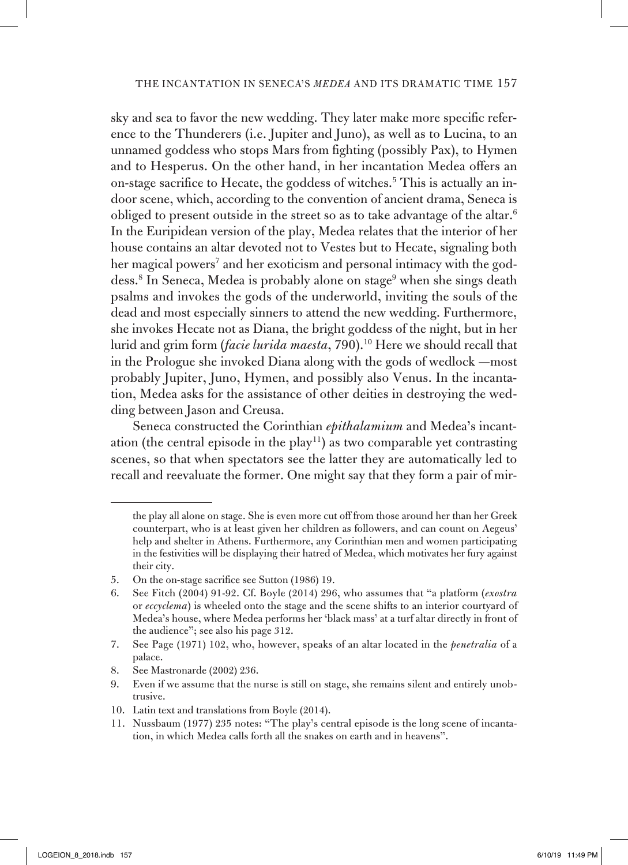sky and sea to favor the new wedding. Τhey later make more specific reference to the Thunderers (i.e. Jupiter and Juno), as well as to Lucina, to an unnamed goddess who stops Mars from fighting (possibly Pax), to Hymen and to Hesperus. On the other hand, in her incantation Medea offers an on-stage sacrifice to Hecate, the goddess of witches.<sup>5</sup> This is actually an indoor scene, which, according to the convention of ancient drama, Seneca is obliged to present outside in the street so as to take advantage of the altar.6 In the Euripidean version of the play, Medea relates that the interior of her house contains an altar devoted not to Vestes but to Hecate, signaling both her magical powers<sup>7</sup> and her exoticism and personal intimacy with the goddess.<sup>8</sup> In Seneca, Medea is probably alone on stage<sup>9</sup> when she sings death psalms and invokes the gods of the underworld, inviting the souls of the dead and most especially sinners to attend the new wedding. Furthermore, she invokes Hecate not as Diana, the bright goddess of the night, but in her lurid and grim form (*facie lurida maesta*, 790).<sup>10</sup> Here we should recall that in the Prologue she invoked Diana along with the gods of wedlock —most probably Jupiter, Juno, Hymen, and possibly also Venus. In the incantation, Medea asks for the assistance of other deities in destroying the wedding between Jason and Creusa.

Seneca constructed the Corinthian *epithalamium* and Medea's incantation (the central episode in the play<sup>11</sup>) as two comparable yet contrasting scenes, so that when spectators see the latter they are automatically led to recall and reevaluate the former. One might say that they form a pair of mir-

10. Latin text and translations from Boyle (2014).

the play all alone on stage. She is even more cut off from those around her than her Greek counterpart, who is at least given her children as followers, and can count on Aegeus' help and shelter in Athens. Furthermore, any Corinthian men and women participating in the festivities will be displaying their hatred of Medea, which motivates her fury against their city.

<sup>5.</sup> On the on-stage sacrifice see Sutton (1986) 19.

<sup>6.</sup> See Fitch (2004) 91-92. Cf. Boyle (2014) 296, who assumes that "a platform (*exostra* or *eccyclema*) is wheeled onto the stage and the scene shifts to an interior courtyard of Medea's house, where Medea performs her 'black mass' at a turf altar directly in front of the audience"; see also his page 312.

<sup>7.</sup> See Page (1971) 102, who, however, speaks of an altar located in the *penetralia* of a palace.

<sup>8.</sup> See Mastronarde (2002) 236.

<sup>9.</sup> Even if we assume that the nurse is still on stage, she remains silent and entirely unobtrusive.

<sup>11.</sup> Nussbaum (1977) 235 notes: "The play's central episode is the long scene of incantation, in which Medea calls forth all the snakes on earth and in heavens".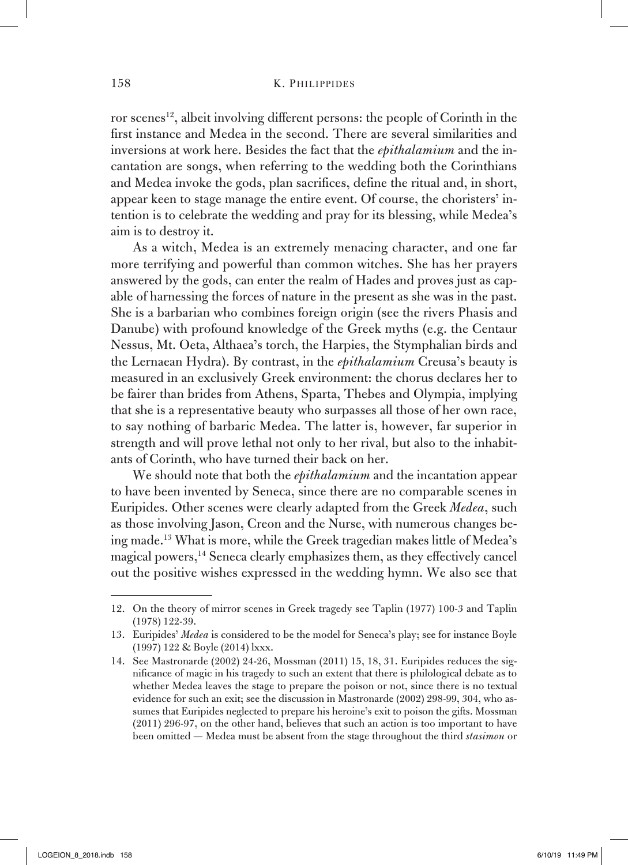ror scenes<sup>12</sup>, albeit involving different persons: the people of Corinth in the first instance and Medea in the second. There are several similarities and inversions at work here. Besides the fact that the *epithalamium* and the incantation are songs, when referring to the wedding both the Corinthians and Medea invoke the gods, plan sacrifices, define the ritual and, in short, appear keen to stage manage the entire event. Of course, the choristers' intention is to celebrate the wedding and pray for its blessing, while Medea's aim is to destroy it.

As a witch, Medea is an extremely menacing character, and one far more terrifying and powerful than common witches. She has her prayers answered by the gods, can enter the realm of Hades and proves just as capable of harnessing the forces of nature in the present as she was in the past. She is a barbarian who combines foreign origin (see the rivers Phasis and Danube) with profound knowledge of the Greek myths (e.g. the Centaur Nessus, Mt. Oeta, Althaea's torch, the Harpies, the Stymphalian birds and the Lernaean Hydra). By contrast, in the *epithalamium* Creusa's beauty is measured in an exclusively Greek environment: the chorus declares her to be fairer than brides from Athens, Sparta, Thebes and Olympia, implying that she is a representative beauty who surpasses all those of her own race, to say nothing of barbaric Medea. The latter is, however, far superior in strength and will prove lethal not only to her rival, but also to the inhabitants of Corinth, who have turned their back on her.

We should note that both the *epithalamium* and the incantation appear to have been invented by Seneca, since there are no comparable scenes in Euripides. Other scenes were clearly adapted from the Greek *Medea*, such as those involving Jason, Creon and the Nurse, with numerous changes being made.13 What is more, while the Greek tragedian makes little of Medea's magical powers,<sup>14</sup> Seneca clearly emphasizes them, as they effectively cancel out the positive wishes expressed in the wedding hymn. We also see that

<sup>12.</sup> On the theory of mirror scenes in Greek tragedy see Taplin (1977) 100-3 and Taplin (1978) 122-39.

<sup>13.</sup> Euripides' *Medea* is considered to be the model for Seneca's play; see for instance Boyle (1997) 122 & Boyle (2014) lxxx.

<sup>14.</sup> See Mastronarde (2002) 24-26, Mossman (2011) 15, 18, 31. Euripides reduces the significance of magic in his tragedy to such an extent that there is philological debate as to whether Medea leaves the stage to prepare the poison or not, since there is no textual evidence for such an exit; see the discussion in Mastronarde (2002) 298-99, 304, who assumes that Euripides neglected to prepare his heroine's exit to poison the gifts. Mossman (2011) 296-97, on the other hand, believes that such an action is too important to have been omitted — Medea must be absent from the stage throughout the third *stasimon* or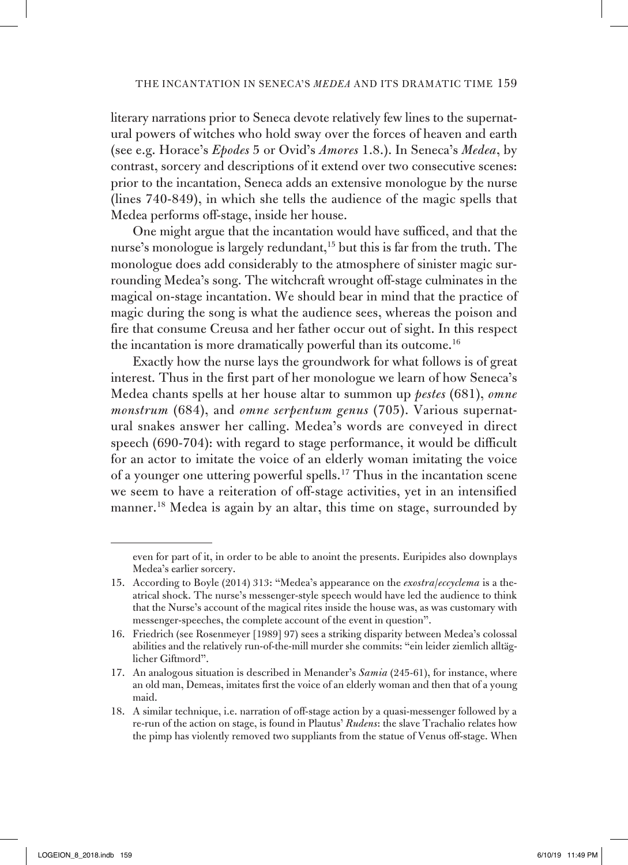literary narrations prior to Seneca devote relatively few lines to the supernatural powers of witches who hold sway over the forces of heaven and earth (see e.g. Horace's *Epodes* 5 or Ovid's *Amores* 1.8.). In Seneca's *Medea*, by contrast, sorcery and descriptions of it extend over two consecutive scenes: prior to the incantation, Seneca adds an extensive monologue by the nurse (lines 740-849), in which she tells the audience of the magic spells that Medea performs off-stage, inside her house.

One might argue that the incantation would have sufficed, and that the nurse's monologue is largely redundant,<sup>15</sup> but this is far from the truth. The monologue does add considerably to the atmosphere of sinister magic surrounding Medea's song. The witchcraft wrought off-stage culminates in the magical on-stage incantation. We should bear in mind that the practice of magic during the song is what the audience sees, whereas the poison and fire that consume Creusa and her father occur out of sight. In this respect the incantation is more dramatically powerful than its outcome.<sup>16</sup>

Exactly how the nurse lays the groundwork for what follows is of great interest. Thus in the first part of her monologue we learn of how Seneca's Medea chants spells at her house altar to summon up *pestes* (681), *omne monstrum* (684), and *omne serpentum genus* (705). Various supernatural snakes answer her calling. Medea's words are conveyed in direct speech (690-704): with regard to stage performance, it would be difficult for an actor to imitate the voice of an elderly woman imitating the voice of a younger one uttering powerful spells.17 Thus in the incantation scene we seem to have a reiteration of off-stage activities, yet in an intensified manner.18 Medea is again by an altar, this time on stage, surrounded by

even for part of it, in order to be able to anoint the presents. Euripides also downplays Medea's earlier sorcery.

<sup>15.</sup> According to Boyle (2014) 313: "Medea's appearance on the *exostra*/*eccyclema* is a theatrical shock. The nurse's messenger-style speech would have led the audience to think that the Nurse's account of the magical rites inside the house was, as was customary with messenger-speeches, the complete account of the event in question".

<sup>16.</sup> Friedrich (see Rosenmeyer [1989] 97) sees a striking disparity between Medea's colossal abilities and the relatively run-of-the-mill murder she commits: "ein leider ziemlich alltäglicher Giftmord".

<sup>17.</sup> An analogous situation is described in Menander's *Samia* (245-61), for instance, where an old man, Demeas, imitates first the voice of an elderly woman and then that of a young maid.

<sup>18.</sup> A similar technique, i.e. narration of off-stage action by a quasi-messenger followed by a re-run of the action on stage, is found in Plautus' *Rudens*: the slave Trachalio relates how the pimp has violently removed two suppliants from the statue of Venus off-stage. When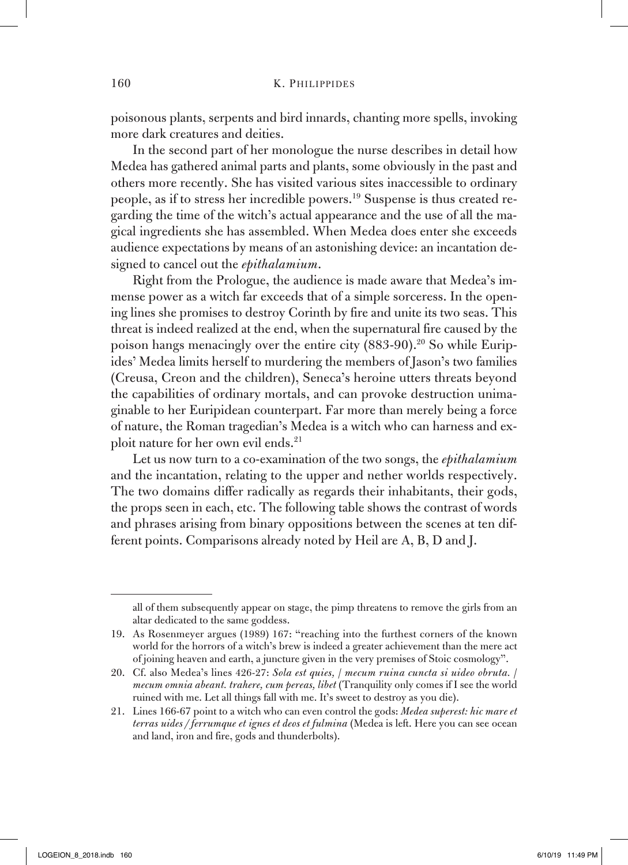poisonous plants, serpents and bird innards, chanting more spells, invoking more dark creatures and deities.

In the second part of her monologue the nurse describes in detail how Medea has gathered animal parts and plants, some obviously in the past and others more recently. She has visited various sites inaccessible to ordinary people, as if to stress her incredible powers.19 Suspense is thus created regarding the time of the witch's actual appearance and the use of all the magical ingredients she has assembled. When Medea does enter she exceeds audience expectations by means of an astonishing device: an incantation designed to cancel out the *epithalamium*.

Right from the Prologue, the audience is made aware that Medea's immense power as a witch far exceeds that of a simple sorceress. In the opening lines she promises to destroy Corinth by fire and unite its two seas. This threat is indeed realized at the end, when the supernatural fire caused by the poison hangs menacingly over the entire city (883-90).<sup>20</sup> So while Euripides' Medea limits herself to murdering the members of Jason's two families (Creusa, Creon and the children), Seneca's heroine utters threats beyond the capabilities of ordinary mortals, and can provoke destruction unimaginable to her Euripidean counterpart. Far more than merely being a force of nature, the Roman tragedian's Medea is a witch who can harness and exploit nature for her own evil ends.<sup>21</sup>

Let us now turn to a co-examination of the two songs, the *epithalamium* and the incantation, relating to the upper and nether worlds respectively. The two domains differ radically as regards their inhabitants, their gods, the props seen in each, etc. The following table shows the contrast of words and phrases arising from binary oppositions between the scenes at ten different points. Comparisons already noted by Heil are A, B, D and J.

all of them subsequently appear on stage, the pimp threatens to remove the girls from an altar dedicated to the same goddess.

<sup>19.</sup> As Rosenmeyer argues (1989) 167: "reaching into the furthest corners of the known world for the horrors of a witch's brew is indeed a greater achievement than the mere act of joining heaven and earth, a juncture given in the very premises of Stoic cosmology".

<sup>20.</sup> Cf. also Medea's lines 426-27: *Sola est quies,* / *mecum ruina cuncta si uideo obruta.* / *mecum omnia abeant. trahere, cum pereas, libet* (Tranquility only comes if I see the world ruined with me. Let all things fall with me. It's sweet to destroy as you die).

<sup>21.</sup> Lines 166-67 point to a witch who can even control the gods: *Medea superest: hic mare et terras uides / ferrumque et ignes et deos et fulmina* (Medea is left. Here you can see ocean and land, iron and fire, gods and thunderbolts).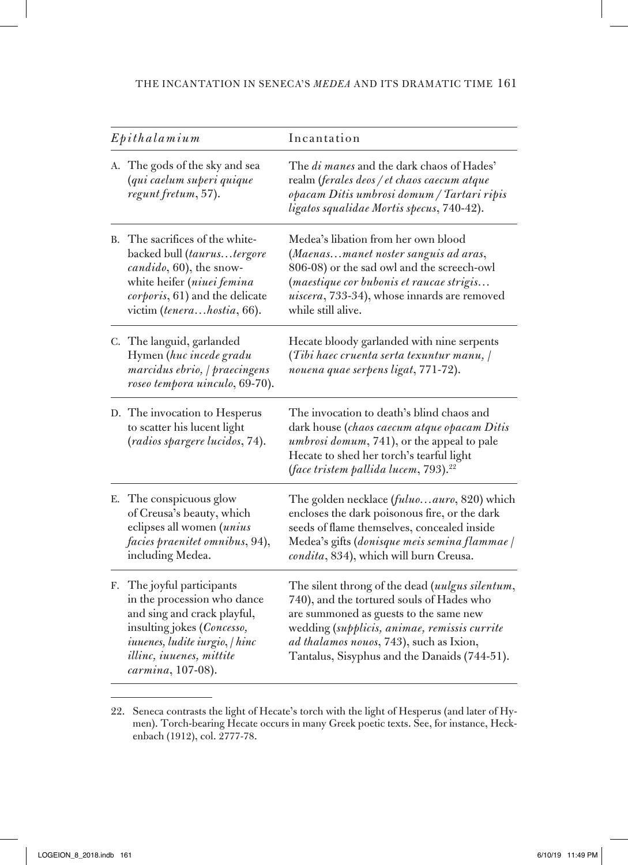|    | $E$ pithalamium                                                                                                                                                                                        | Incantation                                                                                                                                                                                                                                                                       |
|----|--------------------------------------------------------------------------------------------------------------------------------------------------------------------------------------------------------|-----------------------------------------------------------------------------------------------------------------------------------------------------------------------------------------------------------------------------------------------------------------------------------|
|    | A. The gods of the sky and sea<br>(qui caelum superi quique<br>regunt fretum, 57).                                                                                                                     | The di manes and the dark chaos of Hades'<br>realm (ferales deos / et chaos caecum atque<br>opacam Ditis umbrosi domum / Tartari ripis<br>ligatos squalidae Mortis specus, 740-42).                                                                                               |
|    | B. The sacrifices of the white-<br>backed bull (taurustergore<br>candido, 60), the snow-<br>white heifer (niuei femina<br>corporis, 61) and the delicate<br>victim (tenerahostia, 66).                 | Medea's libation from her own blood<br>(Maenasmanet noster sanguis ad aras,<br>806-08) or the sad owl and the screech-owl<br>(maestique cor bubonis et raucae strigis<br>uiscera, 733-34), whose innards are removed<br>while still alive.                                        |
|    | C. The languid, garlanded<br>Hymen (huc incede gradu<br>marcidus ebrio, / praecingens<br>roseo tempora uinculo, 69-70).                                                                                | Hecate bloody garlanded with nine serpents<br>(Tibi haec cruenta serta texuntur manu, /<br>nouena quae serpens ligat, 771-72).                                                                                                                                                    |
|    | D. The invocation to Hesperus<br>to scatter his lucent light<br>(radios spargere lucidos, 74).                                                                                                         | The invocation to death's blind chaos and<br>dark house (chaos caecum atque opacam Ditis<br>umbrosi domum, 741), or the appeal to pale<br>Hecate to shed her torch's tearful light<br>(face tristem pallida lucem, 793). <sup>22</sup>                                            |
|    | E. The conspicuous glow<br>of Creusa's beauty, which<br>eclipses all women (unius<br>facies praenitet omnibus, 94),<br>including Medea.                                                                | The golden necklace (fuluoauro, 820) which<br>encloses the dark poisonous fire, or the dark<br>seeds of flame themselves, concealed inside<br>Medea's gifts (donisque meis semina flammae /<br>condita, 834), which will burn Creusa.                                             |
| F. | The joyful participants<br>in the procession who dance<br>and sing and crack playful,<br>insulting jokes (Concesso,<br>iuuenes, ludite iurgio, / hinc<br>illinc, iuuenes, mittite<br>carmina, 107-08). | The silent throng of the dead (uulgus silentum,<br>740), and the tortured souls of Hades who<br>are summoned as guests to the same new<br>wedding (supplicis, animae, remissis currite<br>ad thalamos nouos, 743), such as Ixion,<br>Tantalus, Sisyphus and the Danaids (744-51). |

<sup>22.</sup> Seneca contrasts the light of Hecate's torch with the light of Hesperus (and later of Hymen). Torch-bearing Hecate occurs in many Greek poetic texts. See, for instance, Heckenbach (1912), col. 2777-78.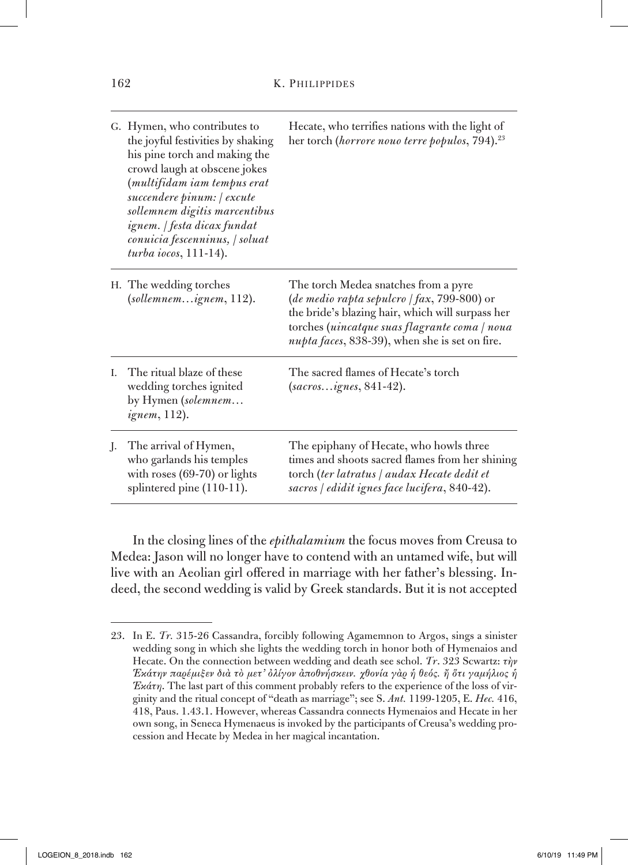|    | G. Hymen, who contributes to<br>the joyful festivities by shaking<br>his pine torch and making the<br>crowd laugh at obscene jokes<br>(multifidam iam tempus erat<br>succendere pinum:   excute<br>sollemnem digitis marcentibus<br>ignem.   festa dicax fundat<br>conuicia fescenninus, / soluat<br>$turba$ iocos, 111-14). | Hecate, who terrifies nations with the light of<br>her torch (horrore nouo terre populos, 794). <sup>23</sup>                                                                                                                              |
|----|------------------------------------------------------------------------------------------------------------------------------------------------------------------------------------------------------------------------------------------------------------------------------------------------------------------------------|--------------------------------------------------------------------------------------------------------------------------------------------------------------------------------------------------------------------------------------------|
|    | H. The wedding torches<br>(sollemnemignem, 112).                                                                                                                                                                                                                                                                             | The torch Medea snatches from a pyre<br>(de medio rapta sepulcro / fax, 799-800) or<br>the bride's blazing hair, which will surpass her<br>torches (uincatque suas flagrante coma / noua<br>nupta faces, 838-39), when she is set on fire. |
| L. | The ritual blaze of these<br>wedding torches ignited<br>by Hymen (solemnem<br><i>ignem</i> , 112).                                                                                                                                                                                                                           | The sacred flames of Hecate's torch<br>$(sacrosignes, 841-42).$                                                                                                                                                                            |
| J. | The arrival of Hymen,<br>who garlands his temples<br>with roses $(69-70)$ or lights<br>splintered pine (110-11).                                                                                                                                                                                                             | The epiphany of Hecate, who howls three<br>times and shoots sacred flames from her shining<br>torch (ter latratus / audax Hecate dedit et<br>sacros / edidit ignes face lucifera, 840-42).                                                 |

In the closing lines of the *epithalamium* the focus moves from Creusa to Medea: Jason will no longer have to contend with an untamed wife, but will live with an Aeolian girl offered in marriage with her father's blessing. Indeed, the second wedding is valid by Greek standards. But it is not accepted

<sup>23.</sup> In E. *Tr.* 315-26 Cassandra, forcibly following Agamemnon to Argos, sings a sinister wedding song in which she lights the wedding torch in honor both of Hymenaios and Hecate. On the connection between wedding and death see schol. *Tr*. 323 Scwartz: *τὴν Ἑκάτην παρέμιξεν διὰ τὸ μετ' ὀλίγον ἀποθνήσκειν. χθονία γὰρ ἡ θεός. ἤ ὅτι γαμήλιος ἡ Ἑκάτη*. The last part of this comment probably refers to the experience of the loss of virginity and the ritual concept of "death as marriage"; see S. *Ant.* 1199-1205, E. *Hec.* 416, 418, Paus. 1.43.1. However, whereas Cassandra connects Hymenaios and Hecate in her own song, in Seneca Hymenaeus is invoked by the participants of Creusa's wedding procession and Hecate by Medea in her magical incantation.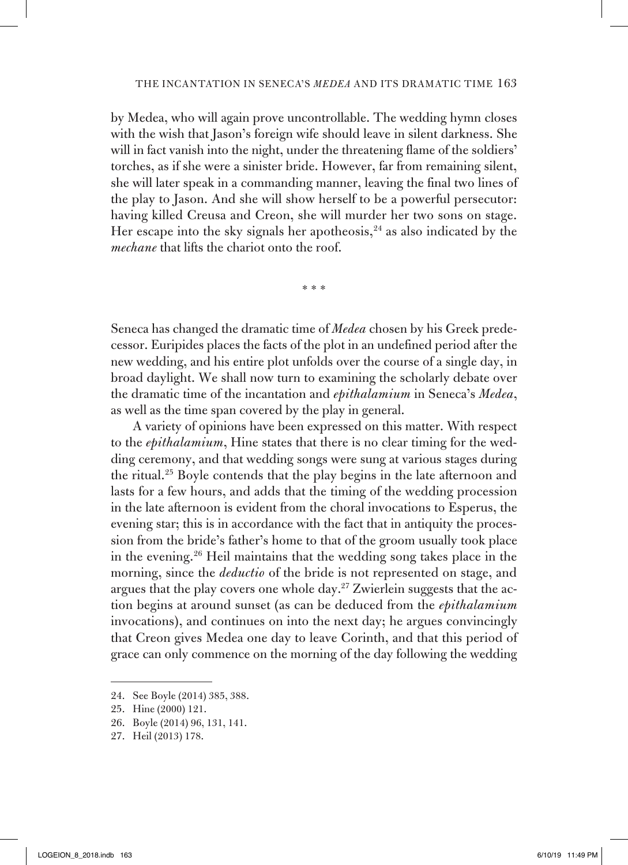by Medea, who will again prove uncontrollable. The wedding hymn closes with the wish that Jason's foreign wife should leave in silent darkness. She will in fact vanish into the night, under the threatening flame of the soldiers' torches, as if she were a sinister bride. However, far from remaining silent, she will later speak in a commanding manner, leaving the final two lines of the play to Jason. And she will show herself to be a powerful persecutor: having killed Creusa and Creon, she will murder her two sons on stage. Her escape into the sky signals her apotheosis,  $24$  as also indicated by the *mechane* that lifts the chariot onto the roof.

\*\*\*

Seneca has changed the dramatic time of *Medea* chosen by his Greek predecessor. Euripides places the facts of the plot in an undefined period after the new wedding, and his entire plot unfolds over the course of a single day, in broad daylight. We shall now turn to examining the scholarly debate over the dramatic time of the incantation and *epithalamium* in Seneca's *Medea*, as well as the time span covered by the play in general.

A variety of opinions have been expressed on this matter. With respect to the *epithalamium*, Hine states that there is no clear timing for the wedding ceremony, and that wedding songs were sung at various stages during the ritual.25 Boyle contends that the play begins in the late afternoon and lasts for a few hours, and adds that the timing of the wedding procession in the late afternoon is evident from the choral invocations to Esperus, the evening star; this is in accordance with the fact that in antiquity the procession from the bride's father's home to that of the groom usually took place in the evening.26 Heil maintains that the wedding song takes place in the morning, since the *deductio* of the bride is not represented on stage, and argues that the play covers one whole day.27 Zwierlein suggests that the action begins at around sunset (as can be deduced from the *epithalamium* invocations), and continues on into the next day; he argues convincingly that Creon gives Medea one day to leave Corinth, and that this period of grace can only commence on the morning of the day following the wedding

<sup>24.</sup> See Boyle (2014) 385, 388.

<sup>25.</sup> Hine (2000) 121.

<sup>26.</sup> Boyle (2014) 96, 131, 141.

<sup>27.</sup> Heil (2013) 178.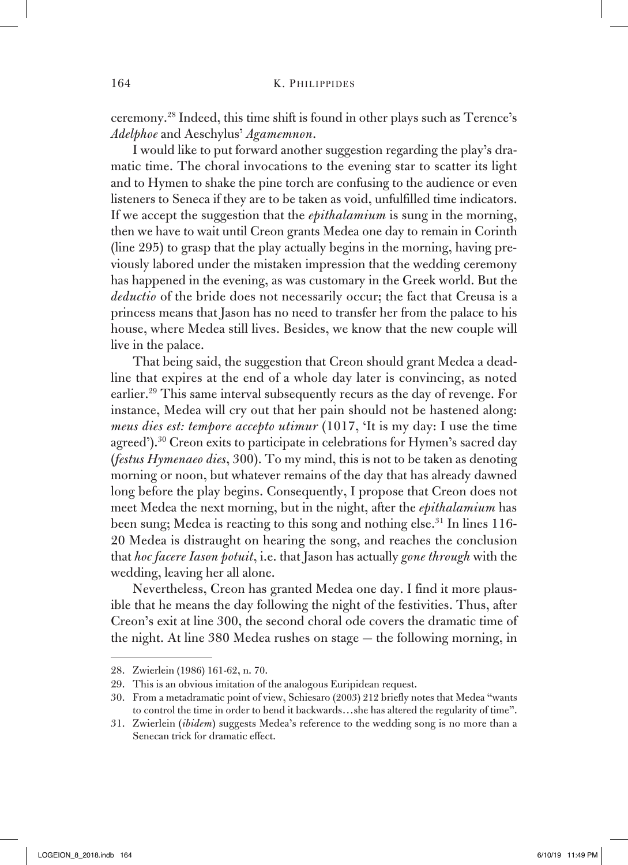ceremony.28 Indeed, this time shift is found in other plays such as Terence's *Adelphoe* and Aeschylus' *Agamemnon*.

I would like to put forward another suggestion regarding the play's dramatic time. The choral invocations to the evening star to scatter its light and to Hymen to shake the pine torch are confusing to the audience or even listeners to Seneca if they are to be taken as void, unfulfilled time indicators. If we accept the suggestion that the *epithalamium* is sung in the morning, then we have to wait until Creon grants Medea one day to remain in Corinth (line 295) to grasp that the play actually begins in the morning, having previously labored under the mistaken impression that the wedding ceremony has happened in the evening, as was customary in the Greek world. But the *deductio* of the bride does not necessarily occur; the fact that Creusa is a princess means that Jason has no need to transfer her from the palace to his house, where Medea still lives. Besides, we know that the new couple will live in the palace.

That being said, the suggestion that Creon should grant Medea a deadline that expires at the end of a whole day later is convincing, as noted earlier.<sup>29</sup> This same interval subsequently recurs as the day of revenge. For instance, Medea will cry out that her pain should not be hastened along: *meus dies est: tempore accepto utimur* (1017, 'It is my day: I use the time agreed').<sup>30</sup> Creon exits to participate in celebrations for Hymen's sacred day (*festus Hymenaeo dies*, 300). To my mind, this is not to be taken as denoting morning or noon, but whatever remains of the day that has already dawned long before the play begins. Consequently, I propose that Creon does not meet Medea the next morning, but in the night, after the *epithalamium* has been sung; Medea is reacting to this song and nothing else.<sup>31</sup> In lines 116-20 Medea is distraught on hearing the song, and reaches the conclusion that *hoc facere Iason potuit*, i.e. that Jason has actually *gone through* with the wedding, leaving her all alone.

Nevertheless, Creon has granted Medea one day. I find it more plausible that he means the day following the night of the festivities. Thus, after Creon's exit at line 300, the second choral ode covers the dramatic time of the night. At line 380 Medea rushes on stage — the following morning, in

<sup>28.</sup> Zwierlein (1986) 161-62, n. 70.

<sup>29.</sup> This is an obvious imitation of the analogous Euripidean request.

<sup>30.</sup> From a metadramatic point of view, Schiesaro (2003) 212 briefly notes that Medea "wants to control the time in order to bend it backwards…she has altered the regularity of time".

<sup>31.</sup> Zwierlein (*ibidem*) suggests Medea's reference to the wedding song is no more than a Senecan trick for dramatic effect.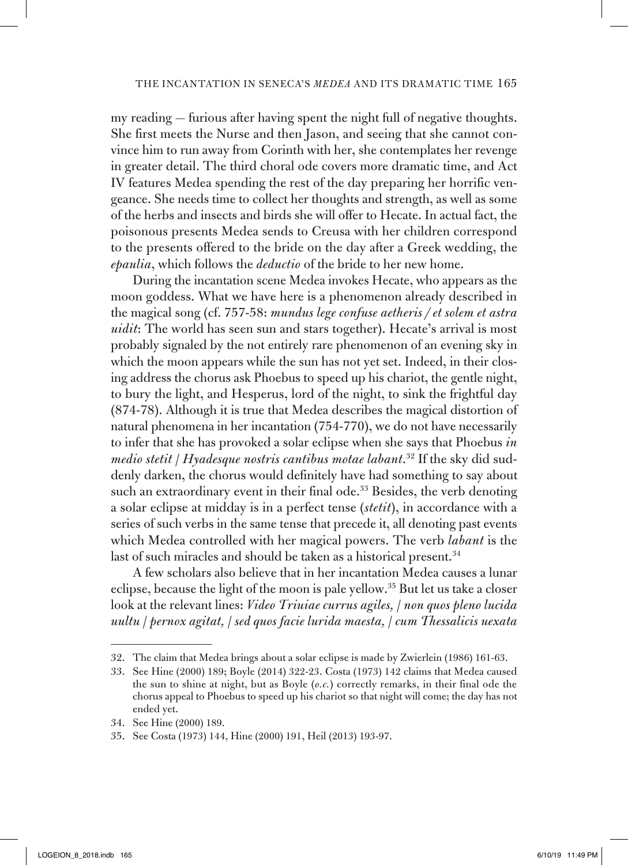my reading — furious after having spent the night full of negative thoughts. She first meets the Nurse and then Jason, and seeing that she cannot convince him to run away from Corinth with her, she contemplates her revenge in greater detail. The third choral ode covers more dramatic time, and Act IV features Medea spending the rest of the day preparing her horrific vengeance. She needs time to collect her thoughts and strength, as well as some of the herbs and insects and birds she will offer to Hecate. In actual fact, the poisonous presents Medea sends to Creusa with her children correspond to the presents offered to the bride on the day after a Greek wedding, the *epaulia*, which follows the *deductio* of the bride to her new home.

During the incantation scene Medea invokes Hecate, who appears as the moon goddess. What we have here is a phenomenon already described in the magical song (cf. 757-58: *mundus lege confuse aetheris / et solem et astra uidit*: The world has seen sun and stars together). Hecate's arrival is most probably signaled by the not entirely rare phenomenon of an evening sky in which the moon appears while the sun has not yet set. Indeed, in their closing address the chorus ask Phoebus to speed up his chariot, the gentle night, to bury the light, and Hesperus, lord of the night, to sink the frightful day (874-78). Although it is true that Medea describes the magical distortion of natural phenomena in her incantation (754-770), we do not have necessarily to infer that she has provoked a solar eclipse when she says that Phoebus *in medio stetit* / *Hyadesque nostris cantibus motae labant*. <sup>32</sup> If the sky did suddenly darken, the chorus would definitely have had something to say about such an extraordinary event in their final ode.<sup>33</sup> Besides, the verb denoting a solar eclipse at midday is in a perfect tense (*stetit*), in accordance with a series of such verbs in the same tense that precede it, all denoting past events which Medea controlled with her magical powers. The verb *labant* is the last of such miracles and should be taken as a historical present.<sup>34</sup>

A few scholars also believe that in her incantation Medea causes a lunar eclipse, because the light of the moon is pale yellow.35 But let us take a closer look at the relevant lines: *Video Triuiae currus agiles,* / *non quos pleno lucida uultu* / *pernox agitat,* / *sed quos facie lurida maesta,* / *cum Thessalicis uexata* 

<sup>32.</sup> The claim that Medea brings about a solar eclipse is made by Zwierlein (1986) 161-63.

<sup>33.</sup> See Hine (2000) 189; Boyle (2014) 322-23. Costa (1973) 142 claims that Medea caused the sun to shine at night, but as Boyle (*o.c.*) correctly remarks, in their final ode the chorus appeal to Phoebus to speed up his chariot so that night will come; the day has not ended yet.

<sup>34.</sup> See Hine (2000) 189.

<sup>35.</sup> See Costa (1973) 144, Hine (2000) 191, Heil (2013) 193-97.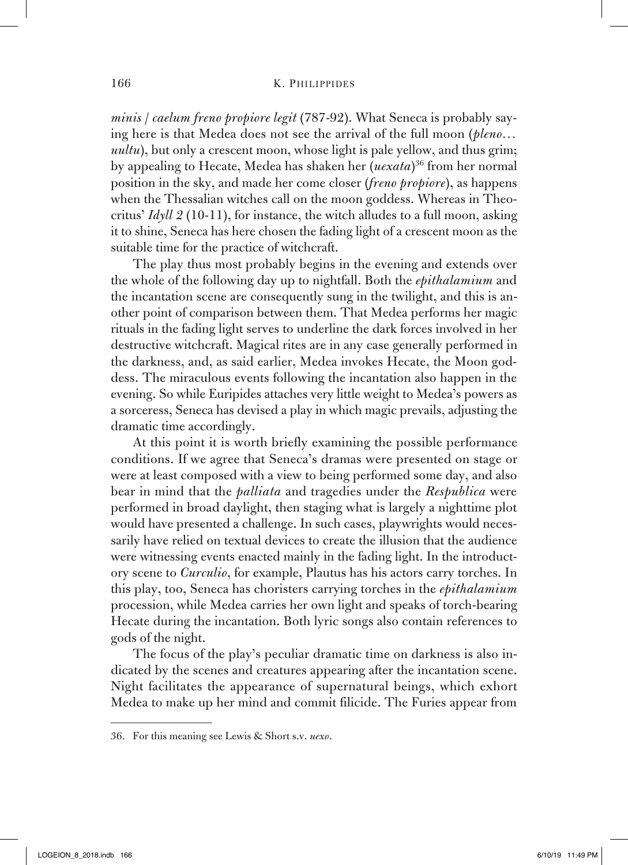*minis* / *caelum freno propiore legit* (787-92). What Seneca is probably saying here is that Medea does not see the arrival of the full moon (*pleno… uultu*), but only a crescent moon, whose light is pale yellow, and thus grim; by appealing to Hecate, Medea has shaken her (*uexata*) 36 from her normal position in the sky, and made her come closer (*freno propiore*), as happens when the Thessalian witches call on the moon goddess. Whereas in Theocritus' *Idyll 2* (10-11), for instance, the witch alludes to a full moon, asking it to shine, Seneca has here chosen the fading light of a crescent moon as the suitable time for the practice of witchcraft.

The play thus most probably begins in the evening and extends over the whole of the following day up to nightfall. Both the *epithalamium* and the incantation scene are consequently sung in the twilight, and this is another point of comparison between them. That Medea performs her magic rituals in the fading light serves to underline the dark forces involved in her destructive witchcraft. Magical rites are in any case generally performed in the darkness, and, as said earlier, Medea invokes Hecate, the Moon goddess. The miraculous events following the incantation also happen in the evening. So while Euripides attaches very little weight to Medea's powers as a sorceress, Seneca has devised a play in which magic prevails, adjusting the dramatic time accordingly.

At this point it is worth briefly examining the possible performance conditions. If we agree that Seneca's dramas were presented on stage or were at least composed with a view to being performed some day, and also bear in mind that the *palliata* and tragedies under the *Respublica* were performed in broad daylight, then staging what is largely a nighttime plot would have presented a challenge. In such cases, playwrights would necessarily have relied on textual devices to create the illusion that the audience were witnessing events enacted mainly in the fading light. In the introductory scene to *Curculio*, for example, Plautus has his actors carry torches. In this play, too, Seneca has choristers carrying torches in the *epithalamium*  procession, while Medea carries her own light and speaks of torch-bearing Hecate during the incantation. Both lyric songs also contain references to gods of the night.

The focus of the play's peculiar dramatic time on darkness is also indicated by the scenes and creatures appearing after the incantation scene. Night facilitates the appearance of supernatural beings, which exhort Medea to make up her mind and commit filicide. The Furies appear from

<sup>36.</sup> For this meaning see Lewis & Short s.v. *uexo*.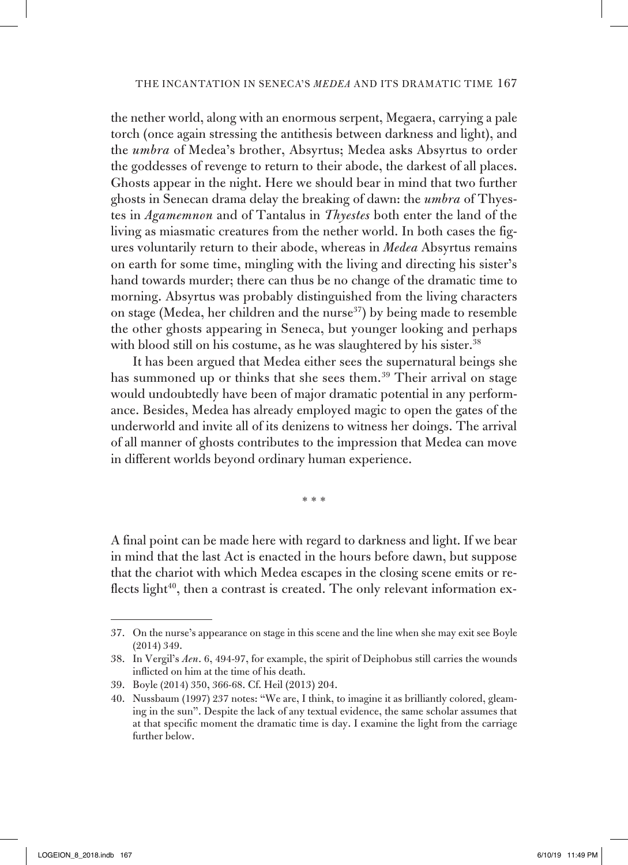the nether world, along with an enormous serpent, Megaera, carrying a pale torch (once again stressing the antithesis between darkness and light), and the *umbra* of Medea's brother, Absyrtus; Medea asks Absyrtus to order the goddesses of revenge to return to their abode, the darkest of all places. Ghosts appear in the night. Here we should bear in mind that two further ghosts in Senecan drama delay the breaking of dawn: the *umbra* of Thyestes in *Agamemnon* and of Tantalus in *Thyestes* both enter the land of the living as miasmatic creatures from the nether world. In both cases the figures voluntarily return to their abode, whereas in *Medea* Absyrtus remains on earth for some time, mingling with the living and directing his sister's hand towards murder; there can thus be no change of the dramatic time to morning. Absyrtus was probably distinguished from the living characters on stage (Medea, her children and the nurse<sup>37</sup>) by being made to resemble the other ghosts appearing in Seneca, but younger looking and perhaps with blood still on his costume, as he was slaughtered by his sister.<sup>38</sup>

It has been argued that Medea either sees the supernatural beings she has summoned up or thinks that she sees them.<sup>39</sup> Their arrival on stage would undoubtedly have been of major dramatic potential in any performance. Besides, Medea has already employed magic to open the gates of the underworld and invite all of its denizens to witness her doings. The arrival of all manner of ghosts contributes to the impression that Medea can move in different worlds beyond ordinary human experience.

\*\*\*

A final point can be made here with regard to darkness and light. If we bear in mind that the last Act is enacted in the hours before dawn, but suppose that the chariot with which Medea escapes in the closing scene emits or reflects light<sup>40</sup>, then a contrast is created. The only relevant information ex-

<sup>37.</sup> On the nurse's appearance on stage in this scene and the line when she may exit see Boyle (2014) 349.

<sup>38.</sup> In Vergil's *Aen*. 6, 494-97, for example, the spirit of Deiphobus still carries the wounds inflicted on him at the time of his death.

<sup>39.</sup> Boyle (2014) 350, 366-68. Cf. Heil (2013) 204.

<sup>40.</sup> Nussbaum (1997) 237 notes: "We are, I think, to imagine it as brilliantly colored, gleaming in the sun". Despite the lack of any textual evidence, the same scholar assumes that at that specific moment the dramatic time is day. I examine the light from the carriage further below.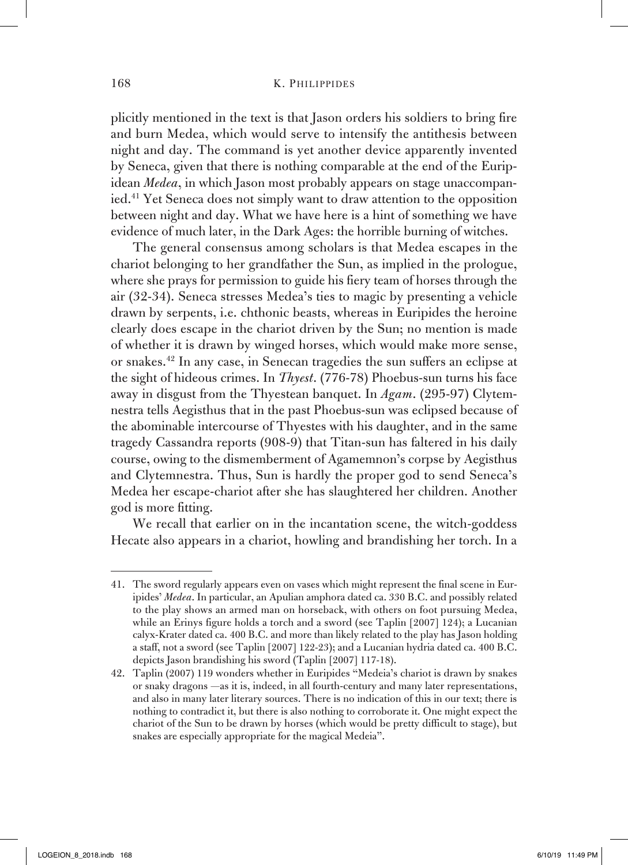## 168 K. PHILIPPIDES

plicitly mentioned in the text is that Jason orders his soldiers to bring fire and burn Medea, which would serve to intensify the antithesis between night and day. The command is yet another device apparently invented by Seneca, given that there is nothing comparable at the end of the Euripidean *Medea*, in which Jason most probably appears on stage unaccompanied.41 Yet Seneca does not simply want to draw attention to the opposition between night and day. What we have here is a hint of something we have evidence of much later, in the Dark Ages: the horrible burning of witches.

The general consensus among scholars is that Medea escapes in the chariot belonging to her grandfather the Sun, as implied in the prologue, where she prays for permission to guide his fiery team of horses through the air (32-34). Seneca stresses Medea's ties to magic by presenting a vehicle drawn by serpents, i.e. chthonic beasts, whereas in Euripides the heroine clearly does escape in the chariot driven by the Sun; no mention is made of whether it is drawn by winged horses, which would make more sense, or snakes.42 In any case, in Senecan tragedies the sun suffers an eclipse at the sight of hideous crimes. In *Thyest*. (776-78) Phoebus-sun turns his face away in disgust from the Thyestean banquet. In *Agam*. (295-97) Clytemnestra tells Aegisthus that in the past Phoebus-sun was eclipsed because of the abominable intercourse of Thyestes with his daughter, and in the same tragedy Cassandra reports (908-9) that Titan-sun has faltered in his daily course, owing to the dismemberment of Agamemnon's corpse by Aegisthus and Clytemnestra. Thus, Sun is hardly the proper god to send Seneca's Medea her escape-chariot after she has slaughtered her children. Another god is more fitting.

We recall that earlier on in the incantation scene, the witch-goddess Hecate also appears in a chariot, howling and brandishing her torch. In a

<sup>41.</sup> The sword regularly appears even on vases which might represent the final scene in Euripides' *Medea*. In particular, an Apulian amphora dated ca. 330 B.C. and possibly related to the play shows an armed man on horseback, with others on foot pursuing Medea, while an Erinys figure holds a torch and a sword (see Taplin [2007] 124); a Lucanian calyx-Krater dated ca. 400 B.C. and more than likely related to the play has Jason holding a staff, not a sword (see Taplin [2007] 122-23); and a Lucanian hydria dated ca. 400 B.C. depicts Jason brandishing his sword (Taplin [2007] 117-18).

<sup>42.</sup> Taplin (2007) 119 wonders whether in Euripides "Medeia's chariot is drawn by snakes or snaky dragons —as it is, indeed, in all fourth-century and many later representations, and also in many later literary sources. There is no indication of this in our text; there is nothing to contradict it, but there is also nothing to corroborate it. One might expect the chariot of the Sun to be drawn by horses (which would be pretty difficult to stage), but snakes are especially appropriate for the magical Medeia".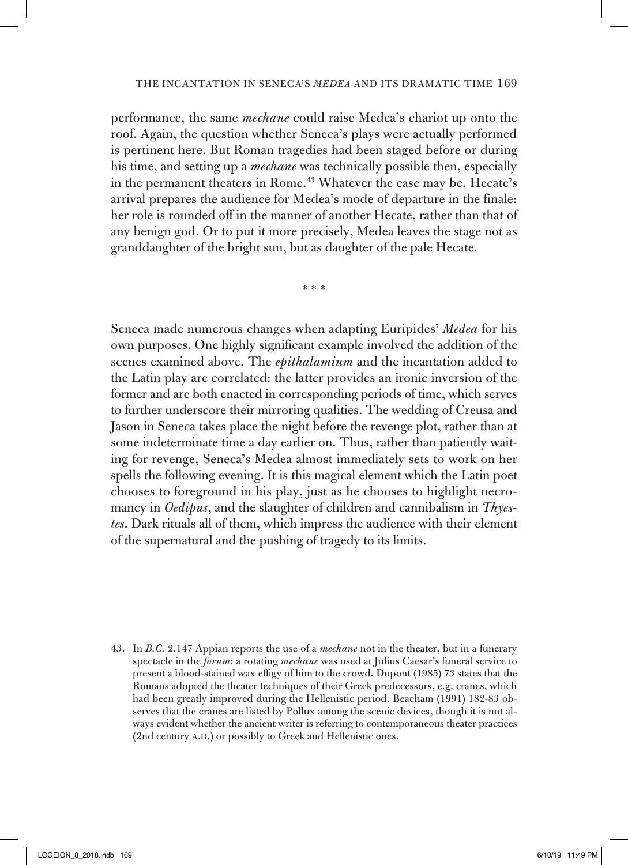performance, the same *mechane* could raise Medea's chariot up onto the roof. Again, the question whether Seneca's plays were actually performed is pertinent here. But Roman tragedies had been staged before or during his time, and setting up a *mechane* was technically possible then, especially in the permanent theaters in Rome.<sup>43</sup> Whatever the case may be, Hecate's arrival prepares the audience for Medea's mode of departure in the finale: her role is rounded off in the manner of another Hecate, rather than that of any benign god. Or to put it more precisely, Medea leaves the stage not as granddaughter of the bright sun, but as daughter of the pale Hecate.

\*\*\*

Seneca made numerous changes when adapting Euripides' *Medea* for his own purposes. One highly significant example involved the addition of the scenes examined above. The *epithalamium* and the incantation added to the Latin play are correlated: the latter provides an ironic inversion of the former and are both enacted in corresponding periods of time, which serves to further underscore their mirroring qualities. The wedding of Creusa and Jason in Seneca takes place the night before the revenge plot, rather than at some indeterminate time a day earlier on. Thus, rather than patiently waiting for revenge, Seneca's Medea almost immediately sets to work on her spells the following evening. It is this magical element which the Latin poet chooses to foreground in his play, just as he chooses to highlight necromancy in *Oedipus*, and the slaughter of children and cannibalism in *Thyestes*. Dark rituals all of them, which impress the audience with their element of the supernatural and the pushing of tragedy to its limits.

<sup>43.</sup> In *B.C.* 2.147 Appian reports the use of a *mechane* not in the theater, but in a funerary spectacle in the *forum*: a rotating *mechane* was used at Julius Caesar's funeral service to present a blood-stained wax effigy of him to the crowd. Dupont (1985) 73 states that the Romans adopted the theater techniques of their Greek predecessors, e.g. cranes, which had been greatly improved during the Hellenistic period. Beacham (1991) 182-83 observes that the cranes are listed by Pollux among the scenic devices, though it is not always evident whether the ancient writer is referring to contemporaneous theater practices (2nd century A.D.) or possibly to Greek and Hellenistic ones.